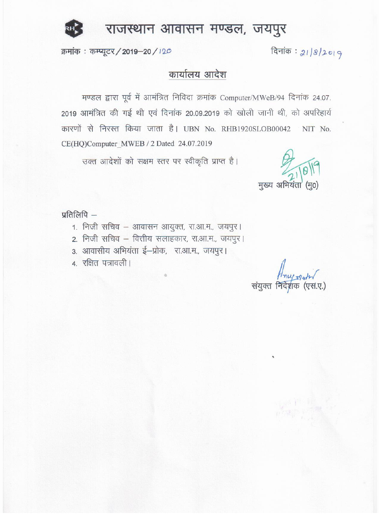

# राजस्थान आवासन मण्डल, जयपुर

क्रमांक: कम्प्यूटर / 2019-20 / 120

दिनांक: 21/8/2019

# कार्यालय आदेश

मण्डल द्वारा पूर्व में आमंत्रित निविदा क्रमांक Computer/MWeB/94 दिनांक 24.07. 2019 आमंत्रित की गई थी एवं दिनांक 20.09.2019 को खोली जानी थी, को अपरिहार्य कारणों से निरस्त किया जाता है। UBN No. RHB1920SLOB00042 NIT No. CE(HQ)Computer\_MWEB / 2 Dated\_24.07.2019

उक्त आदेशों को सक्षम स्तर पर स्वीकृति प्राप्त है।

मुख्य अभियंता

प्रतिलिपि –

- 1. निजी सचिव आवासन आयुक्त, रा.आ.म., जयपुर।
- 2. निजी सचिव वित्तीय सलाहकार, रा.आ.म., जयपुर।
- 3. आवासीय अभियंता ई-प्रोक, रा.आ.म., जयपुर।
- 4. रक्षित पत्रावली।

Hnu rah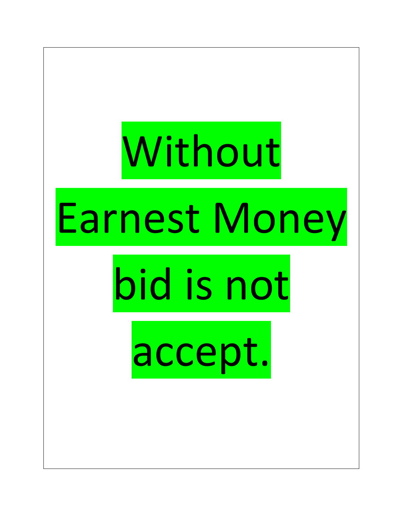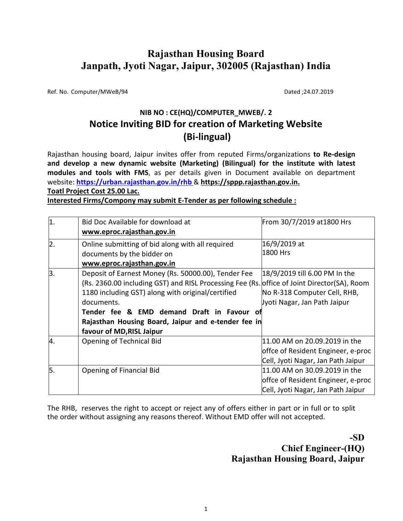# **Rajasthan Housing Board Janpath, Jyoti Nagar, Jaipur, 302005 (Rajasthan) India**

Ref. No. Computer/MWeB/94 Dated ;24.07.2019

# **NIB NO : CE(HQ)/COMPUTER\_MWEB/. 2 Notice Inviting BID for creation of Marketing Website (Bi-lingual)**

Rajasthan housing board, Jaipur invites offer from reputed Firms/organizations **to Re-design and develop a new dynamic website (Marketing) (Bilingual) for the institute with latest modules and tools with FMS**, as per details given in Document available on department website: **https://urban.rajasthan.gov.in/rhb** & **https://sppp.rajasthan.gov.in. Toatl Project Cost 25.00 Lac.**

**Interested Firms/Compony may submit E-Tender as per following schedule :** 

| $\vert$ 1.       | Bid Doc Available for download at                                                           | From 30/7/2019 at 1800 Hrs         |  |  |
|------------------|---------------------------------------------------------------------------------------------|------------------------------------|--|--|
|                  | www.eproc.rajasthan.gov.in                                                                  |                                    |  |  |
| $\overline{2}$ . | Online submitting of bid along with all required                                            | 16/9/2019 at                       |  |  |
|                  | documents by the bidder on                                                                  | 1800 Hrs                           |  |  |
|                  | www.eproc.rajasthan.gov.in                                                                  |                                    |  |  |
| 3.               | Deposit of Earnest Money (Rs. 50000.00), Tender Fee                                         | 18/9/2019 till 6.00 PM In the      |  |  |
|                  | (Rs. 2360.00 including GST) and RISL Processing Fee (Rs. office of Joint Director(SA), Room |                                    |  |  |
|                  | 1180 including GST) along with original/certified                                           | No R-318 Computer Cell, RHB,       |  |  |
|                  | documents.                                                                                  | Jyoti Nagar, Jan Path Jaipur       |  |  |
|                  | Tender fee & EMD demand Draft in Favour of                                                  |                                    |  |  |
|                  | Rajasthan Housing Board, Jaipur and e-tender fee in                                         |                                    |  |  |
|                  | favour of MD, RISL Jaipur                                                                   |                                    |  |  |
| 4.               | Opening of Technical Bid                                                                    | 11.00 AM on 20.09.2019 in the      |  |  |
|                  |                                                                                             | offce of Resident Engineer, e-proc |  |  |
|                  |                                                                                             | Cell, Jyoti Nagar, Jan Path Jaipur |  |  |
| 5.               | Opening of Financial Bid                                                                    | 11.00 AM on 30.09.2019 in the      |  |  |
|                  |                                                                                             | offce of Resident Engineer, e-proc |  |  |
|                  |                                                                                             | Cell, Jyoti Nagar, Jan Path Jaipur |  |  |

The RHB, reserves the right to accept or reject any of offers either in part or in full or to split the order without assigning any reasons thereof. Without EMD offer will not accepted.

> **-SD Chief Engineer-(HQ) Rajasthan Housing Board, Jaipur**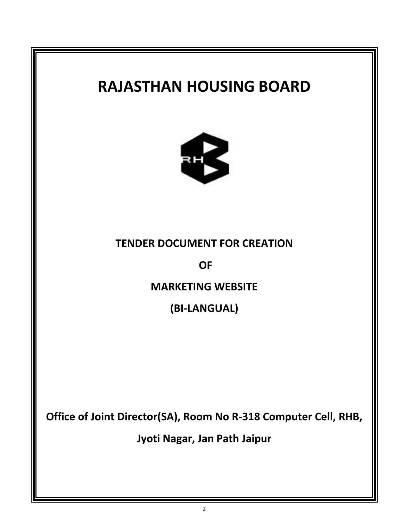# **RAJASTHAN HOUSING BOARD TENDER DOCUMENT FOR CREATION OF MARKETING WEBSITE (BI-LANGUAL) Office of Joint Director(SA), Room No R-318 Computer Cell, RHB, Jyoti Nagar, Jan Path Jaipur**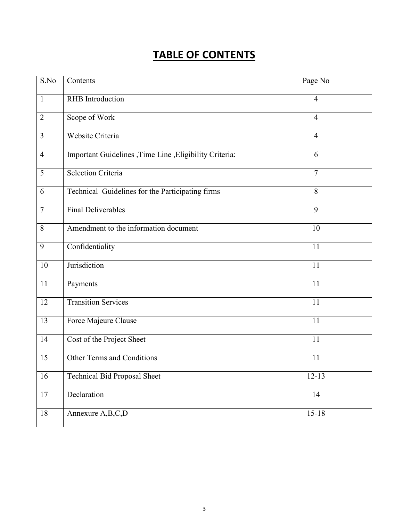# **TABLE OF CONTENTS**

| S.No           | Contents                                                 | Page No        |
|----------------|----------------------------------------------------------|----------------|
| $\mathbf{1}$   | <b>RHB</b> Introduction                                  | $\overline{4}$ |
| $\overline{2}$ | Scope of Work                                            | $\overline{4}$ |
| $\overline{3}$ | Website Criteria                                         | $\overline{4}$ |
| $\overline{4}$ | Important Guidelines , Time Line , Eligibility Criteria: | 6              |
| 5              | <b>Selection Criteria</b>                                | $\overline{7}$ |
| 6              | Technical Guidelines for the Participating firms         | 8              |
| $\tau$         | <b>Final Deliverables</b>                                | 9              |
| 8              | Amendment to the information document                    | 10             |
| 9              | Confidentiality                                          | 11             |
| 10             | Jurisdiction                                             | 11             |
| 11             | Payments                                                 | 11             |
| 12             | <b>Transition Services</b>                               | 11             |
| 13             | Force Majeure Clause                                     | 11             |
| 14             | Cost of the Project Sheet                                | 11             |
| 15             | Other Terms and Conditions                               | 11             |
| 16             | <b>Technical Bid Proposal Sheet</b>                      | $12 - 13$      |
| 17             | Declaration                                              | 14             |
| 18             | Annexure A,B,C,D                                         | $15 - 18$      |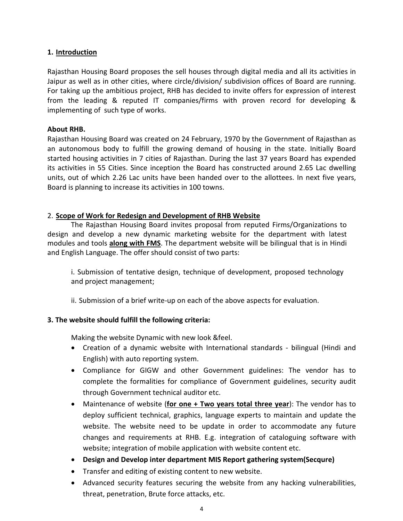#### **1. Introduction**

Rajasthan Housing Board proposes the sell houses through digital media and all its activities in Jaipur as well as in other cities, where circle/division/ subdivision offices of Board are running. For taking up the ambitious project, RHB has decided to invite offers for expression of interest from the leading & reputed IT companies/firms with proven record for developing & implementing of such type of works.

#### **About RHB.**

Rajasthan Housing Board was created on 24 February, 1970 by the Government of Rajasthan as an autonomous body to fulfill the growing demand of housing in the state. Initially Board started housing activities in 7 cities of Rajasthan. During the last 37 years Board has expended its activities in 55 Cities. Since inception the Board has constructed around 2.65 Lac dwelling units, out of which 2.26 Lac units have been handed over to the allottees. In next five years, Board is planning to increase its activities in 100 towns.

#### 2. **Scope of Work for Redesign and Development of RHB Website**

The Rajasthan Housing Board invites proposal from reputed Firms/Organizations to design and develop a new dynamic marketing website for the department with latest modules and tools **along with FMS**. The department website will be bilingual that is in Hindi and English Language. The offer should consist of two parts:

i. Submission of tentative design, technique of development, proposed technology and project management;

ii. Submission of a brief write-up on each of the above aspects for evaluation.

## **3. The website should fulfill the following criteria:**

Making the website Dynamic with new look &feel.

- Creation of a dynamic website with International standards bilingual (Hindi and English) with auto reporting system.
- Compliance for GIGW and other Government guidelines: The vendor has to complete the formalities for compliance of Government guidelines, security audit through Government technical auditor etc.
- Maintenance of website (**for one + Two years total three year**): The vendor has to deploy sufficient technical, graphics, language experts to maintain and update the website. The website need to be update in order to accommodate any future changes and requirements at RHB. E.g. integration of cataloguing software with website; integration of mobile application with website content etc.
- **Design and Develop inter department MIS Report gathering system(Secqure)**
- Transfer and editing of existing content to new website.
- Advanced security features securing the website from any hacking vulnerabilities, threat, penetration, Brute force attacks, etc.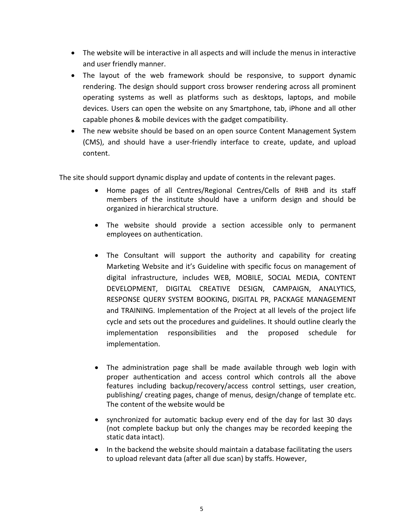- The website will be interactive in all aspects and will include the menus in interactive and user friendly manner.
- The layout of the web framework should be responsive, to support dynamic rendering. The design should support cross browser rendering across all prominent operating systems as well as platforms such as desktops, laptops, and mobile devices. Users can open the website on any Smartphone, tab, iPhone and all other capable phones & mobile devices with the gadget compatibility.
- The new website should be based on an open source Content Management System (CMS), and should have a user-friendly interface to create, update, and upload content.

The site should support dynamic display and update of contents in the relevant pages.

- Home pages of all Centres/Regional Centres/Cells of RHB and its staff members of the institute should have a uniform design and should be organized in hierarchical structure.
- The website should provide a section accessible only to permanent employees on authentication.
- The Consultant will support the authority and capability for creating Marketing Website and it's Guideline with specific focus on management of digital infrastructure, includes WEB, MOBILE, SOCIAL MEDIA, CONTENT DEVELOPMENT, DIGITAL CREATIVE DESIGN, CAMPAIGN, ANALYTICS, RESPONSE QUERY SYSTEM BOOKING, DIGITAL PR, PACKAGE MANAGEMENT and TRAINING. Implementation of the Project at all levels of the project life cycle and sets out the procedures and guidelines. It should outline clearly the implementation responsibilities and the proposed schedule for implementation.
- The administration page shall be made available through web login with proper authentication and access control which controls all the above features including backup/recovery/access control settings, user creation, publishing/ creating pages, change of menus, design/change of template etc. The content of the website would be
- synchronized for automatic backup every end of the day for last 30 days (not complete backup but only the changes may be recorded keeping the static data intact).
- In the backend the website should maintain a database facilitating the users to upload relevant data (after all due scan) by staffs. However,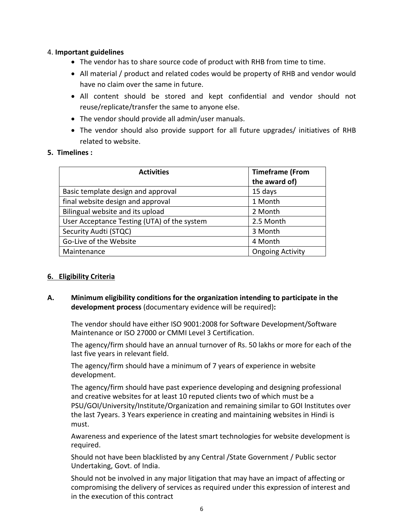#### 4. **Important guidelines**

- The vendor has to share source code of product with RHB from time to time.
- All material / product and related codes would be property of RHB and vendor would have no claim over the same in future.
- All content should be stored and kept confidential and vendor should not reuse/replicate/transfer the same to anyone else.
- The vendor should provide all admin/user manuals.
- The vendor should also provide support for all future upgrades/ initiatives of RHB related to website.

#### **5. Timelines :**

| <b>Activities</b>                           | <b>Timeframe (From</b><br>the award of) |
|---------------------------------------------|-----------------------------------------|
| Basic template design and approval          | 15 days                                 |
| final website design and approval           | 1 Month                                 |
| Bilingual website and its upload            | 2 Month                                 |
| User Acceptance Testing (UTA) of the system | 2.5 Month                               |
| Security Audti (STQC)                       | 3 Month                                 |
| Go-Live of the Website                      | 4 Month                                 |
| Maintenance                                 | <b>Ongoing Activity</b>                 |

## **6. Eligibility Criteria**

**A. Minimum eligibility conditions for the organization intending to participate in the development process** (documentary evidence will be required)**:** 

The vendor should have either ISO 9001:2008 for Software Development/Software Maintenance or ISO 27000 or CMMI Level 3 Certification.

The agency/firm should have an annual turnover of Rs. 50 lakhs or more for each of the last five years in relevant field.

The agency/firm should have a minimum of 7 years of experience in website development.

The agency/firm should have past experience developing and designing professional and creative websites for at least 10 reputed clients two of which must be a PSU/GOI/University/Institute/Organization and remaining similar to GOI Institutes over the last 7years. 3 Years experience in creating and maintaining websites in Hindi is must.

Awareness and experience of the latest smart technologies for website development is required.

Should not have been blacklisted by any Central /State Government / Public sector Undertaking, Govt. of India.

Should not be involved in any major litigation that may have an impact of affecting or compromising the delivery of services as required under this expression of interest and in the execution of this contract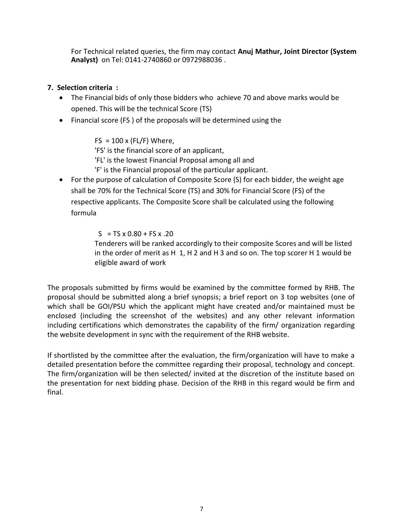For Technical related queries, the firm may contact **Anuj Mathur, Joint Director (System Analyst)** on Tel: 0141-2740860 or 0972988036 .

## **7. Selection criteria :**

- The Financial bids of only those bidders who achieve 70 and above marks would be opened. This will be the technical Score (TS)
- Financial score (FS ) of the proposals will be determined using the

 $FS = 100 \times (FL/F)$  Where,

'FS' is the financial score of an applicant,

'FL' is the lowest Financial Proposal among all and

'F' is the Financial proposal of the particular applicant.

• For the purpose of calculation of Composite Score (S) for each bidder, the weight age shall be 70% for the Technical Score (TS) and 30% for Financial Score (FS) of the respective applicants. The Composite Score shall be calculated using the following formula

 $S = TS \times 0.80 + FS \times .20$ 

 Tenderers will be ranked accordingly to their composite Scores and will be listed in the order of merit as H 1, H 2 and H 3 and so on. The top scorer H 1 would be eligible award of work

The proposals submitted by firms would be examined by the committee formed by RHB. The proposal should be submitted along a brief synopsis; a brief report on 3 top websites (one of which shall be GOI/PSU which the applicant might have created and/or maintained must be enclosed (including the screenshot of the websites) and any other relevant information including certifications which demonstrates the capability of the firm/ organization regarding the website development in sync with the requirement of the RHB website.

If shortlisted by the committee after the evaluation, the firm/organization will have to make a detailed presentation before the committee regarding their proposal, technology and concept. The firm/organization will be then selected/ invited at the discretion of the institute based on the presentation for next bidding phase. Decision of the RHB in this regard would be firm and final.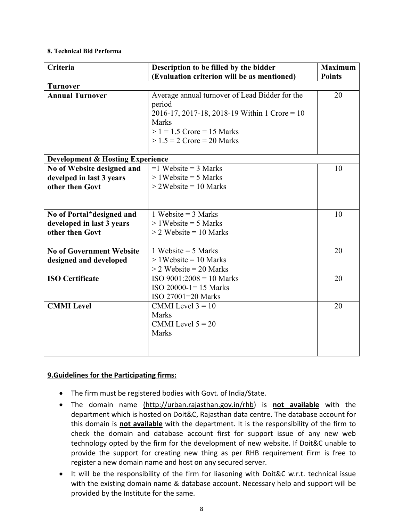#### **8. Technical Bid Performa**

| Criteria                                    | Description to be filled by the bidder          | <b>Maximum</b> |
|---------------------------------------------|-------------------------------------------------|----------------|
|                                             | (Evaluation criterion will be as mentioned)     | <b>Points</b>  |
| <b>Turnover</b>                             |                                                 |                |
| <b>Annual Turnover</b>                      | Average annual turnover of Lead Bidder for the  | 20             |
|                                             | period                                          |                |
|                                             | 2016-17, 2017-18, 2018-19 Within 1 Crore = $10$ |                |
|                                             | <b>Marks</b>                                    |                |
|                                             | $> 1 = 1.5$ Crore = 15 Marks                    |                |
|                                             | $> 1.5 = 2$ Crore = 20 Marks                    |                |
|                                             |                                                 |                |
| <b>Development &amp; Hosting Experience</b> |                                                 |                |
| No of Website designed and                  | $=1$ Website = 3 Marks                          | 10             |
| develped in last 3 years                    | $>1$ Website = 5 Marks                          |                |
| other then Govt                             | $>$ 2Website = 10 Marks                         |                |
|                                             |                                                 |                |
|                                             |                                                 |                |
| No of Portal*designed and                   | 1 Website = $3$ Marks                           | 10             |
| developed in last 3 years                   | $>1$ Website = 5 Marks                          |                |
| other then Govt                             | $>$ 2 Website = 10 Marks                        |                |
|                                             |                                                 |                |
| <b>No of Government Website</b>             | 1 Website = $5$ Marks                           | 20             |
| designed and developed                      | $>1$ Website = 10 Marks                         |                |
|                                             | $>$ 2 Website = 20 Marks                        |                |
| <b>ISO Certificate</b>                      | $ISO 9001:2008 = 10 Marks$                      | 20             |
|                                             | $ISO 20000-1=15$ Marks                          |                |
|                                             | ISO 27001=20 Marks                              |                |
| <b>CMMI</b> Level                           | CMMI Level $3 = 10$                             | 20             |
|                                             | <b>Marks</b>                                    |                |
|                                             | CMMI Level $5 = 20$                             |                |
|                                             | <b>Marks</b>                                    |                |
|                                             |                                                 |                |
|                                             |                                                 |                |

#### **9.Guidelines for the Participating firms:**

- The firm must be registered bodies with Govt. of India/State.
- The domain name (http://urban.rajasthan.gov.in/rhb) is **not available** with the department which is hosted on Doit&C, Rajasthan data centre. The database account for this domain is **not available** with the department. It is the responsibility of the firm to check the domain and database account first for support issue of any new web technology opted by the firm for the development of new website. If Doit&C unable to provide the support for creating new thing as per RHB requirement Firm is free to register a new domain name and host on any secured server.
- It will be the responsibility of the firm for liasoning with Doit&C w.r.t. technical issue with the existing domain name & database account. Necessary help and support will be provided by the Institute for the same.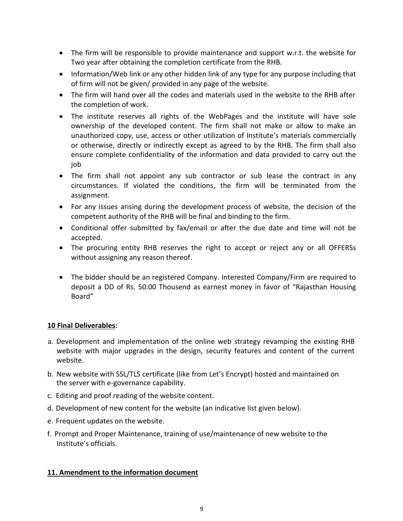- The firm will be responsible to provide maintenance and support w.r.t. the website for Two year after obtaining the completion certificate from the RHB.
- Information/Web link or any other hidden link of any type for any purpose including that of firm will not be given/ provided in any page of the website.
- The firm will hand over all the codes and materials used in the website to the RHB after the completion of work.
- The institute reserves all rights of the WebPages and the institute will have sole ownership of the developed content. The firm shall not make or allow to make an unauthorized copy, use, access or other utilization of Institute's materials commercially or otherwise, directly or indirectly except as agreed to by the RHB. The firm shall also ensure complete confidentiality of the information and data provided to carry out the job
- The firm shall not appoint any sub contractor or sub lease the contract in any circumstances. If violated the conditions, the firm will be terminated from the assignment.
- For any issues arising during the development process of website, the decision of the competent authority of the RHB will be final and binding to the firm.
- Conditional offer submitted by fax/email or after the due date and time will not be accepted.
- The procuring entity RHB reserves the right to accept or reject any or all OFFERSs without assigning any reason thereof.
- The bidder should be an registered Company. Interested Company/Firm are required to deposit a DD of Rs. 50.00 Thousend as earnest money in favor of "Rajasthan Housing Board"

## **10 Final Deliverables:**

- a. Development and implementation of the online web strategy revamping the existing RHB website with major upgrades in the design, security features and content of the current website.
- b. New website with SSL/TLS certificate (like from Let's Encrypt) hosted and maintained on the server with e-governance capability.
- c. Editing and proof reading of the website content.
- d. Development of new content for the website (an indicative list given below).
- e. Frequent updates on the website.
- f. Prompt and Proper Maintenance, training of use/maintenance of new website to the Institute's officials.

## **11. Amendment to the information document**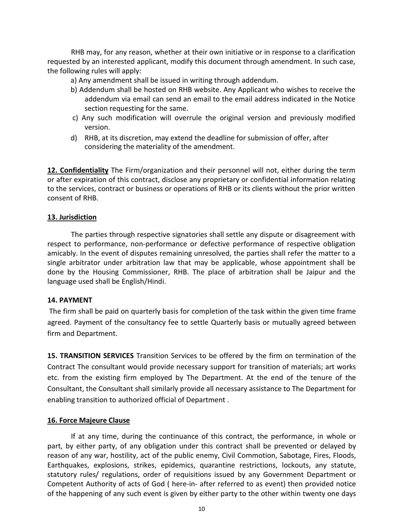RHB may, for any reason, whether at their own initiative or in response to a clarification requested by an interested applicant, modify this document through amendment. In such case, the following rules will apply:

a) Any amendment shall be issued in writing through addendum.

- b) Addendum shall be hosted on RHB website. Any Applicant who wishes to receive the addendum via email can send an email to the email address indicated in the Notice section requesting for the same.
- c) Any such modification will overrule the original version and previously modified version.
- d) RHB, at its discretion, may extend the deadline for submission of offer, after considering the materiality of the amendment.

**12. Confidentiality** The Firm/organization and their personnel will not, either during the term or after expiration of this contract, disclose any proprietary or confidential information relating to the services, contract or business or operations of RHB or its clients without the prior written consent of RHB.

#### **13. Jurisdiction**

The parties through respective signatories shall settle any dispute or disagreement with respect to performance, non-performance or defective performance of respective obligation amicably. In the event of disputes remaining unresolved, the parties shall refer the matter to a single arbitrator under arbitration law that may be applicable, whose appointment shall be done by the Housing Commissioner, RHB. The place of arbitration shall be Jaipur and the language used shall be English/Hindi.

#### **14. PAYMENT**

 The firm shall be paid on quarterly basis for completion of the task within the given time frame agreed. Payment of the consultancy fee to settle Quarterly basis or mutually agreed between firm and Department.

**15. TRANSITION SERVICES** Transition Services to be offered by the firm on termination of the Contract The consultant would provide necessary support for transition of materials; art works etc. from the existing firm employed by The Department. At the end of the tenure of the Consultant, the Consultant shall similarly provide all necessary assistance to The Department for enabling transition to authorized official of Department .

#### **16. Force Majeure Clause**

If at any time, during the continuance of this contract, the performance, in whole or part, by either party, of any obligation under this contract shall be prevented or delayed by reason of any war, hostility, act of the public enemy, Civil Commotion, Sabotage, Fires, Floods, Earthquakes, explosions, strikes, epidemics, quarantine restrictions, lockouts, any statute, statutory rules/ regulations, order of requisitions issued by any Government Department or Competent Authority of acts of God ( here-in- after referred to as event) then provided notice of the happening of any such event is given by either party to the other within twenty one days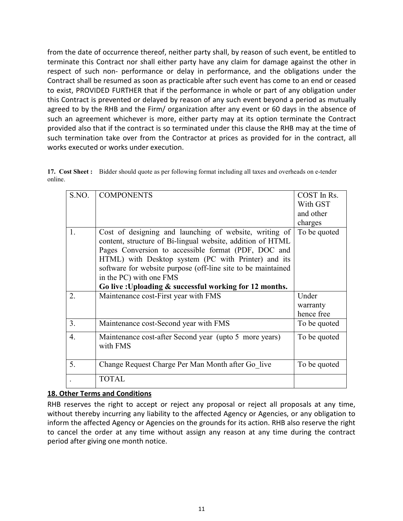from the date of occurrence thereof, neither party shall, by reason of such event, be entitled to terminate this Contract nor shall either party have any claim for damage against the other in respect of such non- performance or delay in performance, and the obligations under the Contract shall be resumed as soon as practicable after such event has come to an end or ceased to exist, PROVIDED FURTHER that if the performance in whole or part of any obligation under this Contract is prevented or delayed by reason of any such event beyond a period as mutually agreed to by the RHB and the Firm/ organization after any event or 60 days in the absence of such an agreement whichever is more, either party may at its option terminate the Contract provided also that if the contract is so terminated under this clause the RHB may at the time of such termination take over from the Contractor at prices as provided for in the contract, all works executed or works under execution.

**17. Cost Sheet :** Bidder should quote as per following format including all taxes and overheads on e-tender online.

| S.NO.            | <b>COMPONENTS</b>                                                                                          | COST In Rs.<br>With GST<br>and other |
|------------------|------------------------------------------------------------------------------------------------------------|--------------------------------------|
|                  |                                                                                                            | charges                              |
| 1.               | Cost of designing and launching of website, writing of                                                     | To be quoted                         |
|                  | content, structure of Bi-lingual website, addition of HTML                                                 |                                      |
|                  | Pages Conversion to accessible format (PDF, DOC and<br>HTML) with Desktop system (PC with Printer) and its |                                      |
|                  | software for website purpose (off-line site to be maintained                                               |                                      |
|                  | in the PC) with one FMS                                                                                    |                                      |
|                  | Go live : Uploading & successful working for 12 months.                                                    |                                      |
| 2.               | Maintenance cost-First year with FMS                                                                       | Under                                |
|                  |                                                                                                            | warranty                             |
|                  |                                                                                                            | hence free                           |
| 3.               | Maintenance cost-Second year with FMS                                                                      | To be quoted                         |
| $\overline{4}$ . | Maintenance cost-after Second year (upto 5 more years)<br>with FMS                                         | To be quoted                         |
| 5.               | Change Request Charge Per Man Month after Go live                                                          | To be quoted                         |
|                  | <b>TOTAL</b>                                                                                               |                                      |

## **18. Other Terms and Conditions**

RHB reserves the right to accept or reject any proposal or reject all proposals at any time, without thereby incurring any liability to the affected Agency or Agencies, or any obligation to inform the affected Agency or Agencies on the grounds for its action. RHB also reserve the right to cancel the order at any time without assign any reason at any time during the contract period after giving one month notice.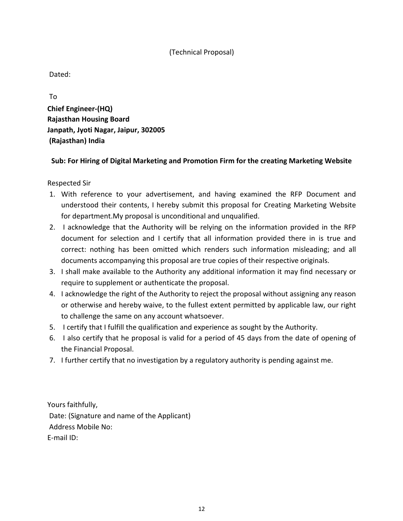## (Technical Proposal)

Dated:

 To **Chief Engineer-(HQ) Rajasthan Housing Board Janpath, Jyoti Nagar, Jaipur, 302005 (Rajasthan) India** 

## **Sub: For Hiring of Digital Marketing and Promotion Firm for the creating Marketing Website**

Respected Sir

- 1. With reference to your advertisement, and having examined the RFP Document and understood their contents, I hereby submit this proposal for Creating Marketing Website for department.My proposal is unconditional and unqualified.
- 2. I acknowledge that the Authority will be relying on the information provided in the RFP document for selection and I certify that all information provided there in is true and correct: nothing has been omitted which renders such information misleading; and all documents accompanying this proposal are true copies of their respective originals.
- 3. I shall make available to the Authority any additional information it may find necessary or require to supplement or authenticate the proposal.
- 4. I acknowledge the right of the Authority to reject the proposal without assigning any reason or otherwise and hereby waive, to the fullest extent permitted by applicable law, our right to challenge the same on any account whatsoever.
- 5. I certify that I fulfill the qualification and experience as sought by the Authority.
- 6. I also certify that he proposal is valid for a period of 45 days from the date of opening of the Financial Proposal.
- 7. I further certify that no investigation by a regulatory authority is pending against me.

Yours faithfully, Date: (Signature and name of the Applicant) Address Mobile No: E-mail ID: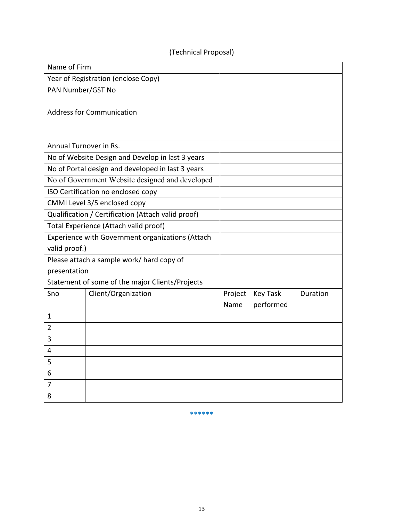## (Technical Proposal)

| Name of Firm                 |                                                    |         |                 |          |
|------------------------------|----------------------------------------------------|---------|-----------------|----------|
|                              | Year of Registration (enclose Copy)                |         |                 |          |
| PAN Number/GST No            |                                                    |         |                 |          |
|                              |                                                    |         |                 |          |
|                              | <b>Address for Communication</b>                   |         |                 |          |
|                              |                                                    |         |                 |          |
| Annual Turnover in Rs.       |                                                    |         |                 |          |
|                              |                                                    |         |                 |          |
|                              | No of Website Design and Develop in last 3 years   |         |                 |          |
|                              | No of Portal design and developed in last 3 years  |         |                 |          |
|                              | No of Government Website designed and developed    |         |                 |          |
|                              | ISO Certification no enclosed copy                 |         |                 |          |
| CMMI Level 3/5 enclosed copy |                                                    |         |                 |          |
|                              | Qualification / Certification (Attach valid proof) |         |                 |          |
|                              | Total Experience (Attach valid proof)              |         |                 |          |
|                              | Experience with Government organizations (Attach   |         |                 |          |
| valid proof.)                |                                                    |         |                 |          |
|                              | Please attach a sample work/ hard copy of          |         |                 |          |
| presentation                 |                                                    |         |                 |          |
|                              | Statement of some of the major Clients/Projects    |         |                 |          |
| Sno                          | Client/Organization                                | Project | <b>Key Task</b> | Duration |
|                              |                                                    | Name    | performed       |          |
| 1                            |                                                    |         |                 |          |
| $\overline{2}$               |                                                    |         |                 |          |
| 3                            |                                                    |         |                 |          |
| 4                            |                                                    |         |                 |          |
| 5                            |                                                    |         |                 |          |
| 6                            |                                                    |         |                 |          |
| $\overline{7}$               |                                                    |         |                 |          |
| 8                            |                                                    |         |                 |          |

\*\*\*\*\*\*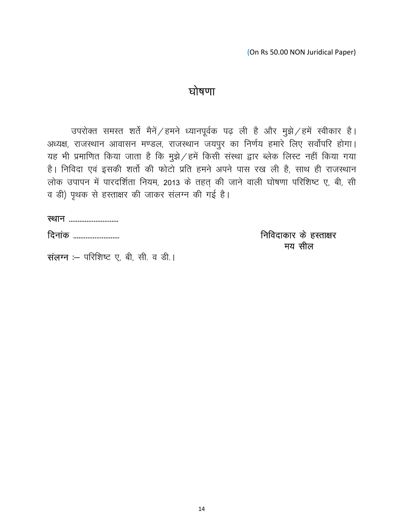(On Rs 50.00 NON Juridical Paper)

# घोषणा

उपरोक्त समस्त शर्ते मैनें $\angle$ हमने ध्यानपूर्वक पढ़ ली है और मुझे $\angle$ हमें स्वीकार है। अध्यक्ष, राजस्थान आवासन मण्डल, राजस्थान जयपुर का निर्णय हमारे लिए सर्वोपरि होगा। यह भी प्रमाणित किया जाता है कि मुझे $\angle$ हमें किसी संस्था द्वार ब्लेक लिस्ट नहीं किया गया है। निविदा एवं इसकी शर्तो की फोटो प्रति हमने अपने पास रख ली है, साथ ही राजस्थान लोक उपापन में पारदर्शिता नियम, 2013 के तहत् की जाने वाली घोषणा परिशिष्ट ए, बी, सी व डी) पृथक से हस्ताक्षर की जाकर संलग्न की गई है।

fnukad -------------------------- fufonkdkj ds gLrk{kj e; let us a let us a let us a let us a let us a let us a let us a let us a let us a let us a let us a let us a

संलग्न :- परिशिष्ट ए, बी, सी. व डी.।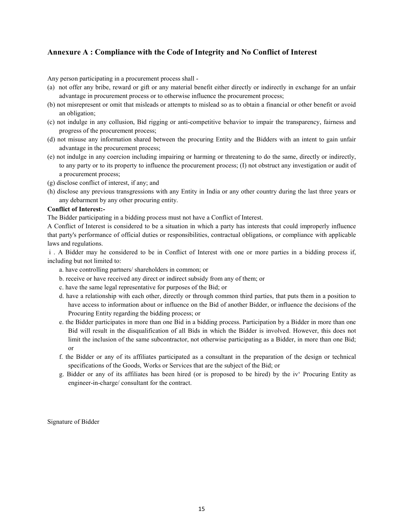#### **Annexure A : Compliance with the Code of Integrity and No Conflict of Interest**

Any person participating in a procurement process shall -

- (a) not offer any bribe, reward or gift or any material benefit either directly or indirectly in exchange for an unfair advantage in procurement process or to otherwise influence the procurement process;
- (b) not misrepresent or omit that misleads or attempts to mislead so as to obtain a financial or other benefit or avoid an obligation;
- (c) not indulge in any collusion, Bid rigging or anti-competitive behavior to impair the transparency, fairness and progress of the procurement process;
- (d) not misuse any information shared between the procuring Entity and the Bidders with an intent to gain unfair advantage in the procurement process;
- (e) not indulge in any coercion including impairing or harming or threatening to do the same, directly or indirectly, to any party or to its property to influence the procurement process; (I) not obstruct any investigation or audit of a procurement process;
- (g) disclose conflict of interest, if any; and
- (h) disclose any previous transgressions with any Entity in India or any other country during the last three years or any debarment by any other procuring entity.

#### **Conflict of Interest:-**

The Bidder participating in a bidding process must not have a Conflict of Interest.

A Conflict of Interest is considered to be a situation in which a party has interests that could improperly influence that party's performance of official duties or responsibilities, contractual obligations, or compliance with applicable laws and regulations.

 i . A Bidder may he considered to be in Conflict of Interest with one or more parties in a bidding process if, including but not limited to:

- a. have controlling partners/ shareholders in common; or
- b. receive or have received any direct or indirect subsidy from any of them; or
- c. have the same legal representative for purposes of the Bid; or
- d. have a relationship with each other, directly or through common third parties, that puts them in a position to have access to information about or influence on the Bid of another Bidder, or influence the decisions of the Procuring Entity regarding the bidding process; or
- e. the Bidder participates in more than one Bid in a bidding process. Participation by a Bidder in more than one Bid will result in the disqualification of all Bids in which the Bidder is involved. However, this does not limit the inclusion of the same subcontractor, not otherwise participating as a Bidder, in more than one Bid; or
- f. the Bidder or any of its affiliates participated as a consultant in the preparation of the design or technical specifications of the Goods, Works or Services that are the subject of the Bid; or
- g. Bidder or any of its affiliates has been hired (or is proposed to be hired) by the iv' Procuring Entity as engineer-in-charge/ consultant for the contract.

Signature of Bidder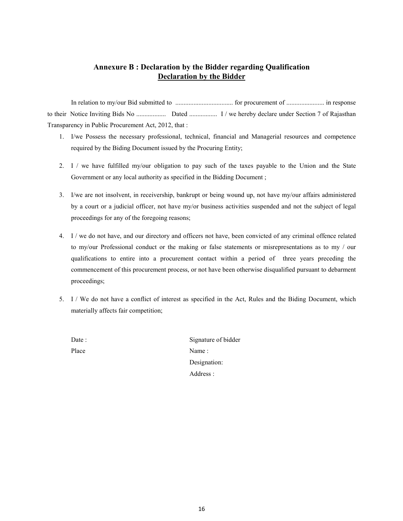#### **Annexure B : Declaration by the Bidder regarding Qualification Declaration by the Bidder**

 In relation to my/our Bid submitted to ................................... for procurement of ....................... in response to their Notice Inviting Bids No .................. Dated ................. I / we hereby declare under Section 7 of Rajasthan Transparency in Public Procurement Act, 2012, that :

- 1. I/we Possess the necessary professional, technical, financial and Managerial resources and competence required by the Biding Document issued by the Procuring Entity;
- 2. I / we have fulfilled my/our obligation to pay such of the taxes payable to the Union and the State Government or any local authority as specified in the Bidding Document ;
- 3. I/we are not insolvent, in receivership, bankrupt or being wound up, not have my/our affairs administered by a court or a judicial officer, not have my/or business activities suspended and not the subject of legal proceedings for any of the foregoing reasons;
- 4. I / we do not have, and our directory and officers not have, been convicted of any criminal offence related to my/our Professional conduct or the making or false statements or misrepresentations as to my / our qualifications to entire into a procurement contact within a period of three years preceding the commencement of this procurement process, or not have been otherwise disqualified pursuant to debarment proceedings;
- 5. I / We do not have a conflict of interest as specified in the Act, Rules and the Biding Document, which materially affects fair competition;
	- Date : Signature of bidder Place Name :

 Designation: Address :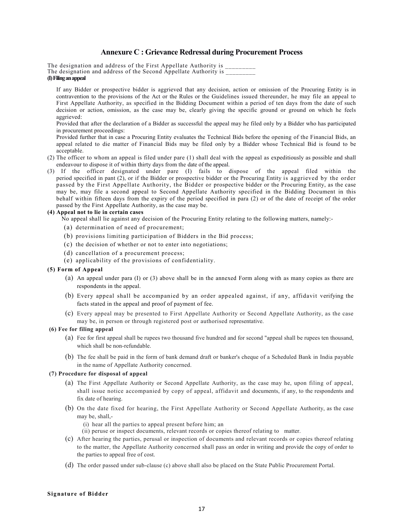#### **Annexure C : Grievance Redressal during Procurement Process**

The designation and address of the First Appellate Authority is The designation and address of the Second Appellate Authority is  $\overline{\phantom{a}}$ **(I) Filing an appeal** 

If any Bidder or prospective bidder is aggrieved that any decision, action or omission of the Procuring Entity is in contravention to the provisions of the Act or the Rules or the Guidelines issued thereunder, he may file an appeal to First Appellate Authority, as specified in the Bidding Document within a period of ten days from the date of such decision or action, omission, as the case may be, clearly giving the specific ground or ground on which he feels aggrieved:

Provided that after the declaration of a Bidder as successful the appeal may he filed only by a Bidder who has participated in procurement proceedings:

Provided further that in case a Procuring Entity evaluates the Technical Bids before the opening of the Financial Bids, an appeal related to die matter of Financial Bids may be filed only by a Bidder whose Technical Bid is found to be acceptable.

- (2) The officer to whom an appeal is filed under pare (1) shall deal with the appeal as expeditiously as possible and shall endeavour to dispose it of within thirty days from the date of the appeal.
- (3) If the officer designated under pare (I) fails to dispose of the appeal filed within the period specified in pant (2), or if the Bidder or prospective bidder or the Procuring Entity is aggrieved by the order passed by the First Appellate Authority, the Bidder or prospective bidder or the Procuring Entity, as the case may be, may file a second appeal to Second Appellate Authority specified in the Bidding Document in this behalf within fifteen days from the expiry of the period specified in para (2) or of the date of receipt of the order passed by the First Appellate Authority, as the case may be.

#### **(4) Appeal not to lie in certain cases**

No appeal shall lie against any decision of the Procuring Entity relating to the following matters, namely:-

- (a) determination of need of procurement;
- (b) provisions limiting participation of Bidders in the Bid process;
- (c) the decision of whether or not to enter into negotiations;
- (d) cancellation of a procurement process;
- (e) applicability of the provisions of confidentiality.

#### **(5) Form of Appeal**

- (a) An appeal under para (I) or (3) above shall be in the annexed Form along with as many copies as there are respondents in the appeal.
- (b) Every appeal shall be accompanied by an order appealed against, if any, affidavit verifying the facts stated in the appeal and proof of payment of fee.
- (c) Every appeal may be presented to First Appellate Authority or Second Appellate Authority, as the case may be, in person or through registered post or authorised representative.

#### **(6) Fee for filing appeal**

- (a) Fee for first appeal shall be rupees two thousand five hundred and for second "appeal shall be rupees ten thousand, which shall be non-refundable.
- (b) The fee shall be paid in the form of bank demand draft or banker's cheque of a Scheduled Bank in India payable in the name of Appellate Authority concerned.

#### **(7) Procedure for disposal of appeal**

- (a) The First Appellate Authority or Second Appellate Authority, as the case may he, upon filing of appeal, shall issue notice accompanied by copy of appeal, affidavit and documents, if any, to the respondents and fix date of hearing.
- (b) On the date fixed for hearing, the First Appellate Authority or Second Appellate Authority, as the case may be, shall,-
	- (i) hear all the parties to appeal present before him; an
	- (ii) peruse or inspect documents, relevant records or copies thereof relating to matter.
- (c) After hearing the parties, perusal or inspection of documents and relevant records or copies thereof relating to the matter, the Appellate Authority concerned shall pass an order in writing and provide the copy of order to the parties to appeal free of cost.
- (d) The order passed under sub-clause (c) above shall also be placed on the State Public Procurement Portal.